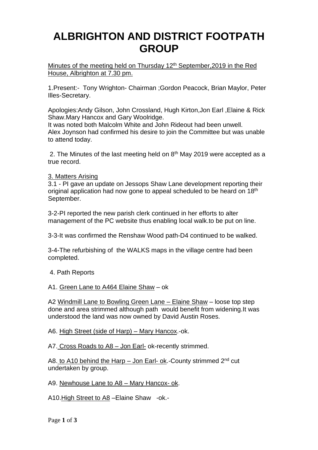# **ALBRIGHTON AND DISTRICT FOOTPATH GROUP**

Minutes of the meeting held on Thursday 12<sup>th</sup> September, 2019 in the Red House, Albrighton at 7.30 pm.

1.Present:- Tony Wrighton- Chairman ;Gordon Peacock, Brian Maylor, Peter Illes-Secretary.

Apologies:Andy Gilson, John Crossland, Hugh Kirton,Jon Earl ,Elaine & Rick Shaw.Mary Hancox and Gary Woolridge.

It was noted both Malcolm White and John Rideout had been unwell. Alex Joynson had confirmed his desire to join the Committee but was unable to attend today.

2. The Minutes of the last meeting held on  $8<sup>th</sup>$  May 2019 were accepted as a true record.

3. Matters Arising

3.1 - PI gave an update on Jessops Shaw Lane development reporting their original application had now gone to appeal scheduled to be heard on 18<sup>th</sup> September.

3-2-PI reported the new parish clerk continued in her efforts to alter management of the PC website thus enabling local walk.to be put on line.

3-3-It was confirmed the Renshaw Wood path-D4 continued to be walked.

3-4-The refurbishing of the WALKS maps in the village centre had been completed.

4. Path Reports

### A1. Green Lane to A464 Elaine Shaw – ok

A2 Windmill Lane to Bowling Green Lane – Elaine Shaw – loose top step done and area strimmed although path would benefit from widening.It was understood the land was now owned by David Austin Roses.

A6. High Street (side of Harp) – Mary Hancox.-ok.

A7. Cross Roads to A8 – Jon Earl- ok-recently strimmed.

A8. to A10 behind the Harp - Jon Earl- ok.-County strimmed 2<sup>nd</sup> cut undertaken by group.

A9. Newhouse Lane to A8 – Mary Hancox- ok.

A10.High Street to A8 –Elaine Shaw -ok.-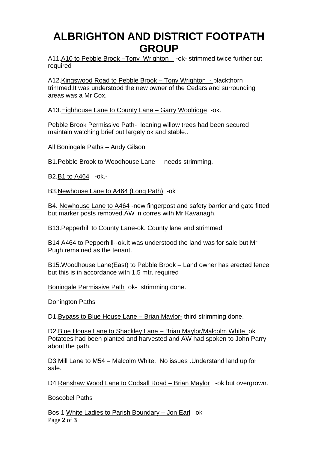### **ALBRIGHTON AND DISTRICT FOOTPATH GROUP**

A11.A10 to Pebble Brook –Tony Wrighton -ok- strimmed twice further cut required

A12.Kingswood Road to Pebble Brook – Tony Wrighton - blackthorn trimmed.It was understood the new owner of the Cedars and surrounding areas was a Mr Cox.

A13.Highhouse Lane to County Lane – Garry Woolridge -ok.

Pebble Brook Permissive Path- leaning willow trees had been secured maintain watching brief but largely ok and stable..

All Boningale Paths – Andy Gilson

B1. Pebble Brook to Woodhouse Lane needs strimming.

B2.B1 to A464 -ok.-

B3.Newhouse Lane to A464 (Long Path) -ok

B4. Newhouse Lane to A464 -new fingerpost and safety barrier and gate fitted but marker posts removed.AW in corres with Mr Kavanagh,

B13.Pepperhill to County Lane-ok. County lane end strimmed

B14 A464 to Pepperhill--ok.It was understood the land was for sale but Mr Pugh remained as the tenant.

B15.Woodhouse Lane(East) to Pebble Brook – Land owner has erected fence but this is in accordance with 1.5 mtr. required

Boningale Permissive Path ok- strimming done.

Donington Paths

D1. Bypass to Blue House Lane – Brian Maylor- third strimming done.

D2.Blue House Lane to Shackley Lane – Brian Maylor/Malcolm White ok Potatoes had been planted and harvested and AW had spoken to John Parry about the path.

D3 Mill Lane to M54 – Malcolm White. No issues .Understand land up for sale.

D4 Renshaw Wood Lane to Codsall Road – Brian Maylor -ok but overgrown.

Boscobel Paths

Page **2** of **3** Bos 1 White Ladies to Parish Boundary – Jon Earl ok